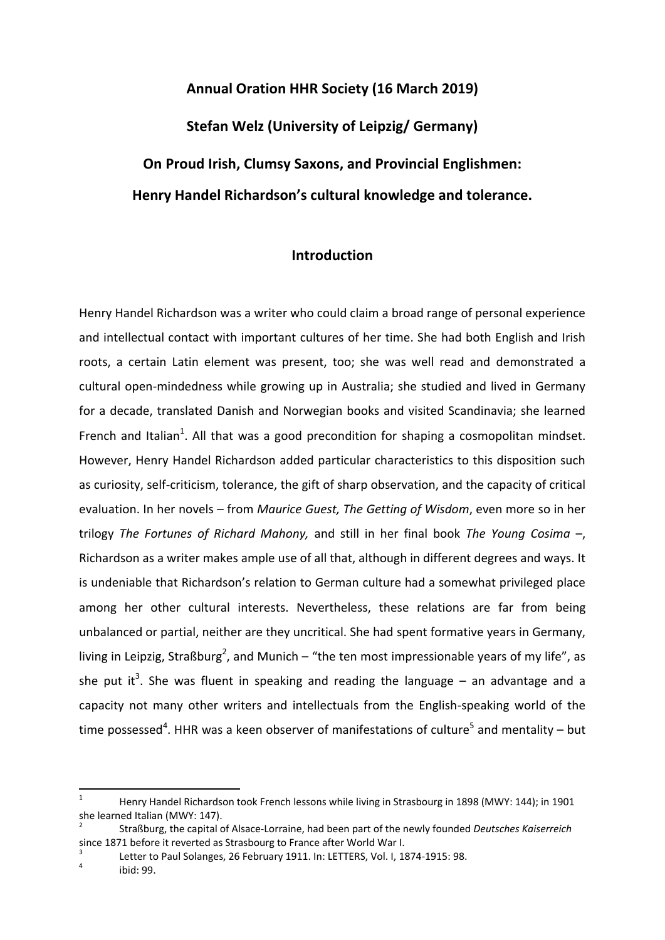# **Annual Oration HHR Society (16 March 2019)**

**Stefan Welz (University of Leipzig/ Germany)**

**On Proud Irish, Clumsy Saxons, and Provincial Englishmen: Henry Handel Richardson's cultural knowledge and tolerance.**

## **Introduction**

Henry Handel Richardson was a writer who could claim a broad range of personal experience and intellectual contact with important cultures of her time. She had both English and Irish roots, a certain Latin element was present, too; she was well read and demonstrated a cultural open-mindedness while growing up in Australia; she studied and lived in Germany for a decade, translated Danish and Norwegian books and visited Scandinavia; she learned French and Italian<sup>1</sup>. All that was a good precondition for shaping a cosmopolitan mindset. However, Henry Handel Richardson added particular characteristics to this disposition such as curiosity, self-criticism, tolerance, the gift of sharp observation, and the capacity of critical evaluation. In her novels – from *Maurice Guest, The Getting of Wisdom*, even more so in her trilogy *The Fortunes of Richard Mahony,* and still in her final book *The Young Cosima* –, Richardson as a writer makes ample use of all that, although in different degrees and ways. It is undeniable that Richardson's relation to German culture had a somewhat privileged place among her other cultural interests. Nevertheless, these relations are far from being unbalanced or partial, neither are they uncritical. She had spent formative years in Germany, living in Leipzig, Straßburg<sup>2</sup>, and Munich – "the ten most impressionable years of my life", as she put it<sup>3</sup>. She was fluent in speaking and reading the language  $-$  an advantage and a capacity not many other writers and intellectuals from the English-speaking world of the time possessed<sup>4</sup>. HHR was a keen observer of manifestations of culture<sup>5</sup> and mentality – but

3 Letter to Paul Solanges, 26 February 1911. In: LETTERS, Vol. I, 1874-1915: 98.

<sup>1</sup> Henry Handel Richardson took French lessons while living in Strasbourg in 1898 (MWY: 144); in 1901 she learned Italian (MWY: 147).

<sup>2</sup> Straßburg, the capital of Alsace-Lorraine, had been part of the newly founded *Deutsches Kaiserreich* since 1871 before it reverted as Strasbourg to France after World War I.

<sup>4</sup> ibid: 99.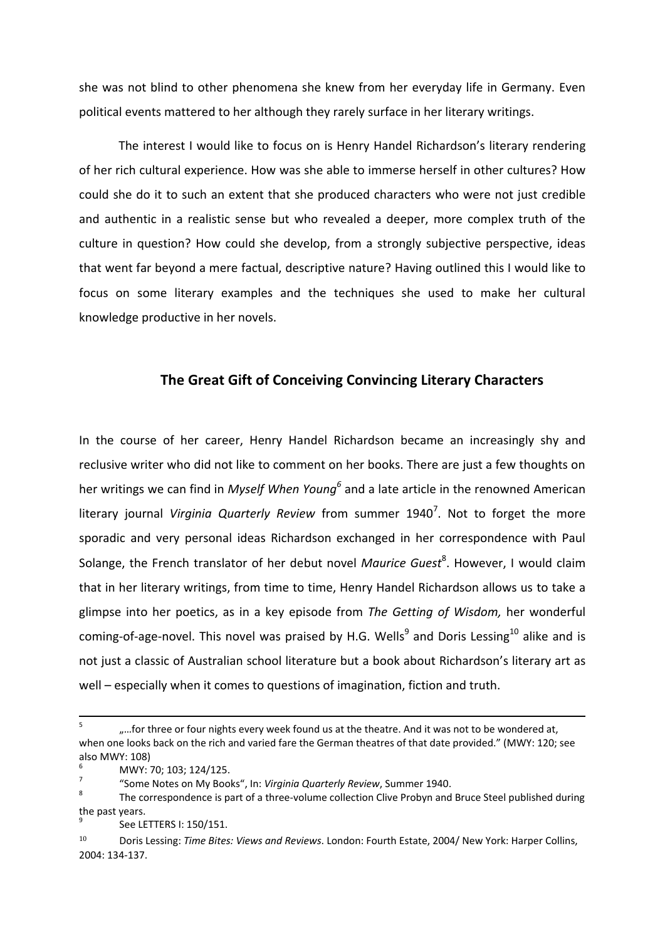she was not blind to other phenomena she knew from her everyday life in Germany. Even political events mattered to her although they rarely surface in her literary writings.

The interest I would like to focus on is Henry Handel Richardson's literary rendering of her rich cultural experience. How was she able to immerse herself in other cultures? How could she do it to such an extent that she produced characters who were not just credible and authentic in a realistic sense but who revealed a deeper, more complex truth of the culture in question? How could she develop, from a strongly subjective perspective, ideas that went far beyond a mere factual, descriptive nature? Having outlined this I would like to focus on some literary examples and the techniques she used to make her cultural knowledge productive in her novels.

#### **The Great Gift of Conceiving Convincing Literary Characters**

In the course of her career, Henry Handel Richardson became an increasingly shy and reclusive writer who did not like to comment on her books. There are just a few thoughts on her writings we can find in *Myself When Young<sup>6</sup>* and a late article in the renowned American literary journal Virginia Quarterly Review from summer 1940<sup>7</sup>. Not to forget the more sporadic and very personal ideas Richardson exchanged in her correspondence with Paul Solange, the French translator of her debut novel Maurice Guest<sup>8</sup>. However, I would claim that in her literary writings, from time to time, Henry Handel Richardson allows us to take a glimpse into her poetics, as in a key episode from *The Getting of Wisdom,* her wonderful coming-of-age-novel. This novel was praised by H.G. Wells<sup>9</sup> and Doris Lessing<sup>10</sup> alike and is not just a classic of Australian school literature but a book about Richardson's literary art as well – especially when it comes to questions of imagination, fiction and truth.

<sup>5</sup> "…for three or four nights every week found us at the theatre. And it was not to be wondered at, when one looks back on the rich and varied fare the German theatres of that date provided." (MWY: 120; see also MWY: 108)

<sup>6</sup> MWY: 70; 103; 124/125. 7

<sup>&</sup>quot;Some Notes on My Books", In: *Virginia Quarterly Review*, Summer 1940. 8

The correspondence is part of a three-volume collection Clive Probyn and Bruce Steel published during the past years.

<sup>9</sup> See LETTERS I: 150/151.

<sup>10</sup> Doris Lessing: *Time Bites: Views and Reviews*. London: Fourth Estate, 2004/ New York: Harper Collins, 2004: 134-137.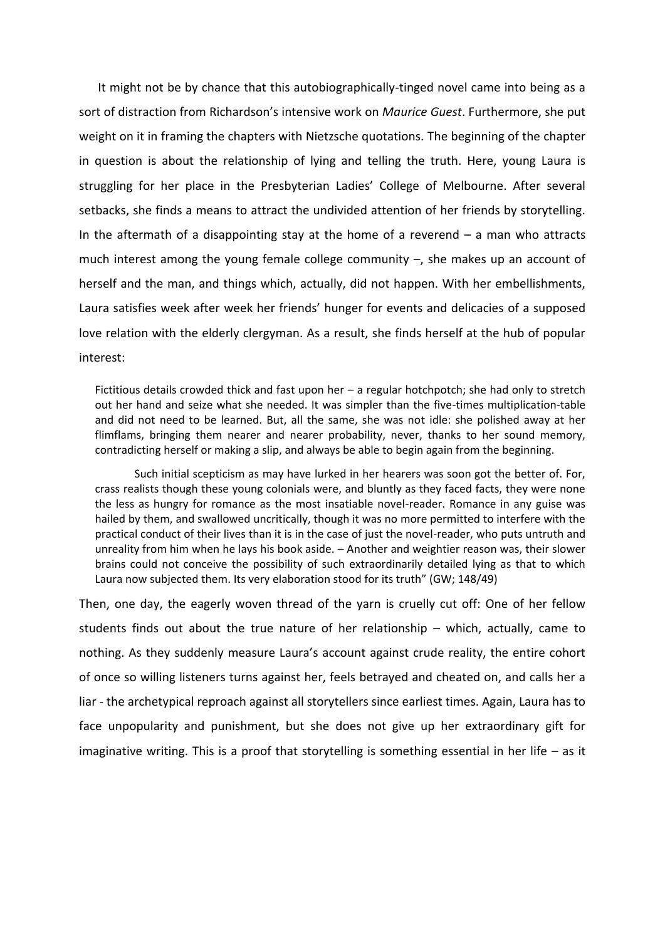It might not be by chance that this autobiographically-tinged novel came into being as a sort of distraction from Richardson's intensive work on *Maurice Guest*. Furthermore, she put weight on it in framing the chapters with Nietzsche quotations. The beginning of the chapter in question is about the relationship of lying and telling the truth. Here, young Laura is struggling for her place in the Presbyterian Ladies' College of Melbourne. After several setbacks, she finds a means to attract the undivided attention of her friends by storytelling. In the aftermath of a disappointing stay at the home of a reverend  $-$  a man who attracts much interest among the young female college community –, she makes up an account of herself and the man, and things which, actually, did not happen. With her embellishments, Laura satisfies week after week her friends' hunger for events and delicacies of a supposed love relation with the elderly clergyman. As a result, she finds herself at the hub of popular interest:

Fictitious details crowded thick and fast upon her – a regular hotchpotch; she had only to stretch out her hand and seize what she needed. It was simpler than the five-times multiplication-table and did not need to be learned. But, all the same, she was not idle: she polished away at her flimflams, bringing them nearer and nearer probability, never, thanks to her sound memory, contradicting herself or making a slip, and always be able to begin again from the beginning.

Such initial scepticism as may have lurked in her hearers was soon got the better of. For, crass realists though these young colonials were, and bluntly as they faced facts, they were none the less as hungry for romance as the most insatiable novel-reader. Romance in any guise was hailed by them, and swallowed uncritically, though it was no more permitted to interfere with the practical conduct of their lives than it is in the case of just the novel-reader, who puts untruth and unreality from him when he lays his book aside. – Another and weightier reason was, their slower brains could not conceive the possibility of such extraordinarily detailed lying as that to which Laura now subjected them. Its very elaboration stood for its truth" (GW; 148/49)

Then, one day, the eagerly woven thread of the yarn is cruelly cut off: One of her fellow students finds out about the true nature of her relationship – which, actually, came to nothing. As they suddenly measure Laura's account against crude reality, the entire cohort of once so willing listeners turns against her, feels betrayed and cheated on, and calls her a liar - the archetypical reproach against all storytellers since earliest times. Again, Laura has to face unpopularity and punishment, but she does not give up her extraordinary gift for imaginative writing. This is a proof that storytelling is something essential in her life – as it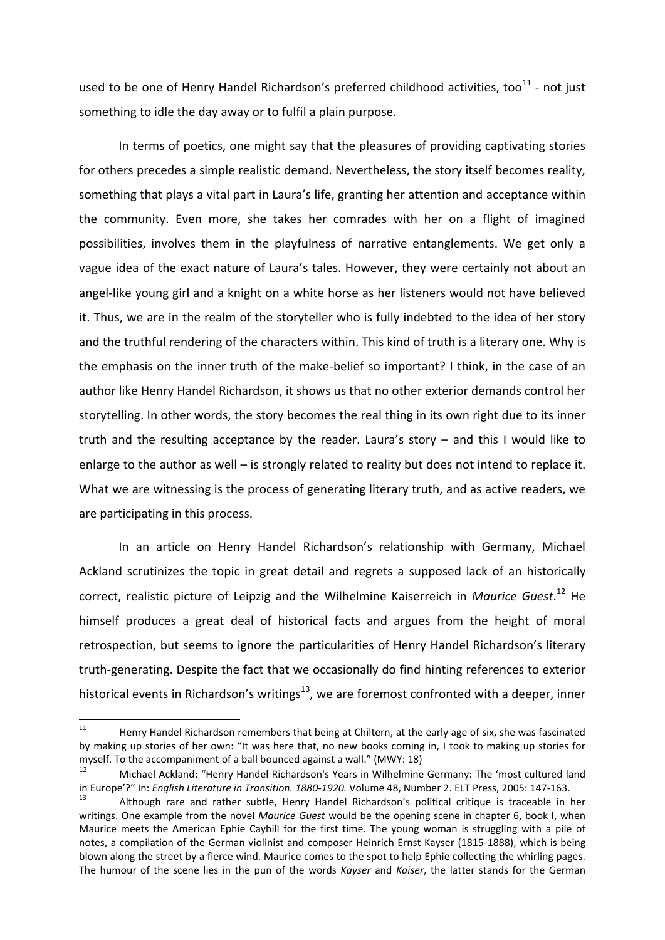used to be one of Henry Handel Richardson's preferred childhood activities, too $^{11}$  - not just something to idle the day away or to fulfil a plain purpose.

In terms of poetics, one might say that the pleasures of providing captivating stories for others precedes a simple realistic demand. Nevertheless, the story itself becomes reality, something that plays a vital part in Laura's life, granting her attention and acceptance within the community. Even more, she takes her comrades with her on a flight of imagined possibilities, involves them in the playfulness of narrative entanglements. We get only a vague idea of the exact nature of Laura's tales. However, they were certainly not about an angel-like young girl and a knight on a white horse as her listeners would not have believed it. Thus, we are in the realm of the storyteller who is fully indebted to the idea of her story and the truthful rendering of the characters within. This kind of truth is a literary one. Why is the emphasis on the inner truth of the make-belief so important? I think, in the case of an author like Henry Handel Richardson, it shows us that no other exterior demands control her storytelling. In other words, the story becomes the real thing in its own right due to its inner truth and the resulting acceptance by the reader. Laura's story – and this I would like to enlarge to the author as well – is strongly related to reality but does not intend to replace it. What we are witnessing is the process of generating literary truth, and as active readers, we are participating in this process.

In an article on Henry Handel Richardson's relationship with Germany, Michael Ackland scrutinizes the topic in great detail and regrets a supposed lack of an historically correct, realistic picture of Leipzig and the Wilhelmine Kaiserreich in *Maurice Guest*. <sup>12</sup> He himself produces a great deal of historical facts and argues from the height of moral retrospection, but seems to ignore the particularities of Henry Handel Richardson's literary truth-generating. Despite the fact that we occasionally do find hinting references to exterior historical events in Richardson's writings<sup>13</sup>, we are foremost confronted with a deeper, inner

 $11\,$ Henry Handel Richardson remembers that being at Chiltern, at the early age of six, she was fascinated by making up stories of her own: "It was here that, no new books coming in, I took to making up stories for myself. To the accompaniment of a ball bounced against a wall." (MWY: 18)

<sup>12</sup> Michael Ackland: "Henry Handel Richardson's Years in Wilhelmine Germany: The 'most cultured land in Europe'?" In: *English Literature in Transition. 1880-1920.* Volume 48, Number 2. ELT Press, 2005: 147-163.

Although rare and rather subtle. Henry Handel Richardson's political critique is traceable in her writings. One example from the novel *Maurice Guest* would be the opening scene in chapter 6, book I, when Maurice meets the American Ephie Cayhill for the first time. The young woman is struggling with a pile of notes, a compilation of the German violinist and composer Heinrich Ernst Kayser (1815-1888), which is being blown along the street by a fierce wind. Maurice comes to the spot to help Ephie collecting the whirling pages. The humour of the scene lies in the pun of the words *Kayser* and *Kaiser*, the latter stands for the German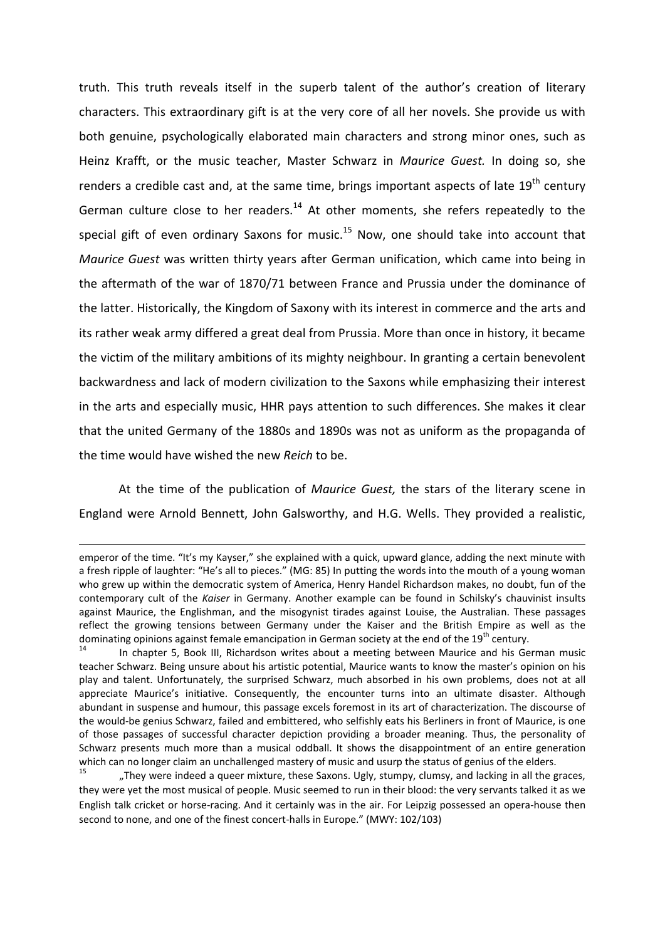truth. This truth reveals itself in the superb talent of the author's creation of literary characters. This extraordinary gift is at the very core of all her novels. She provide us with both genuine, psychologically elaborated main characters and strong minor ones, such as Heinz Krafft, or the music teacher, Master Schwarz in *Maurice Guest.* In doing so, she renders a credible cast and, at the same time, brings important aspects of late  $19<sup>th</sup>$  century German culture close to her readers.<sup>14</sup> At other moments, she refers repeatedly to the special gift of even ordinary Saxons for music. $15$  Now, one should take into account that *Maurice Guest* was written thirty years after German unification, which came into being in the aftermath of the war of 1870/71 between France and Prussia under the dominance of the latter. Historically, the Kingdom of Saxony with its interest in commerce and the arts and its rather weak army differed a great deal from Prussia. More than once in history, it became the victim of the military ambitions of its mighty neighbour. In granting a certain benevolent backwardness and lack of modern civilization to the Saxons while emphasizing their interest in the arts and especially music, HHR pays attention to such differences. She makes it clear that the united Germany of the 1880s and 1890s was not as uniform as the propaganda of the time would have wished the new *Reich* to be.

At the time of the publication of *Maurice Guest,* the stars of the literary scene in England were Arnold Bennett, John Galsworthy, and H.G. Wells. They provided a realistic,

emperor of the time. "It's my Kayser," she explained with a quick, upward glance, adding the next minute with a fresh ripple of laughter: "He's all to pieces." (MG: 85) In putting the words into the mouth of a young woman who grew up within the democratic system of America, Henry Handel Richardson makes, no doubt, fun of the contemporary cult of the *Kaiser* in Germany. Another example can be found in Schilsky's chauvinist insults against Maurice, the Englishman, and the misogynist tirades against Louise, the Australian. These passages reflect the growing tensions between Germany under the Kaiser and the British Empire as well as the dominating opinions against female emancipation in German society at the end of the 19<sup>th</sup> century.

In chapter 5, Book III, Richardson writes about a meeting between Maurice and his German music teacher Schwarz. Being unsure about his artistic potential, Maurice wants to know the master's opinion on his play and talent. Unfortunately, the surprised Schwarz, much absorbed in his own problems, does not at all appreciate Maurice's initiative. Consequently, the encounter turns into an ultimate disaster. Although abundant in suspense and humour, this passage excels foremost in its art of characterization. The discourse of the would-be genius Schwarz, failed and embittered, who selfishly eats his Berliners in front of Maurice, is one of those passages of successful character depiction providing a broader meaning. Thus, the personality of Schwarz presents much more than a musical oddball. It shows the disappointment of an entire generation which can no longer claim an unchallenged mastery of music and usurp the status of genius of the elders.

<sup>15</sup> "They were indeed a queer mixture, these Saxons. Ugly, stumpy, clumsy, and lacking in all the graces, they were yet the most musical of people. Music seemed to run in their blood: the very servants talked it as we English talk cricket or horse-racing. And it certainly was in the air. For Leipzig possessed an opera-house then second to none, and one of the finest concert-halls in Europe." (MWY: 102/103)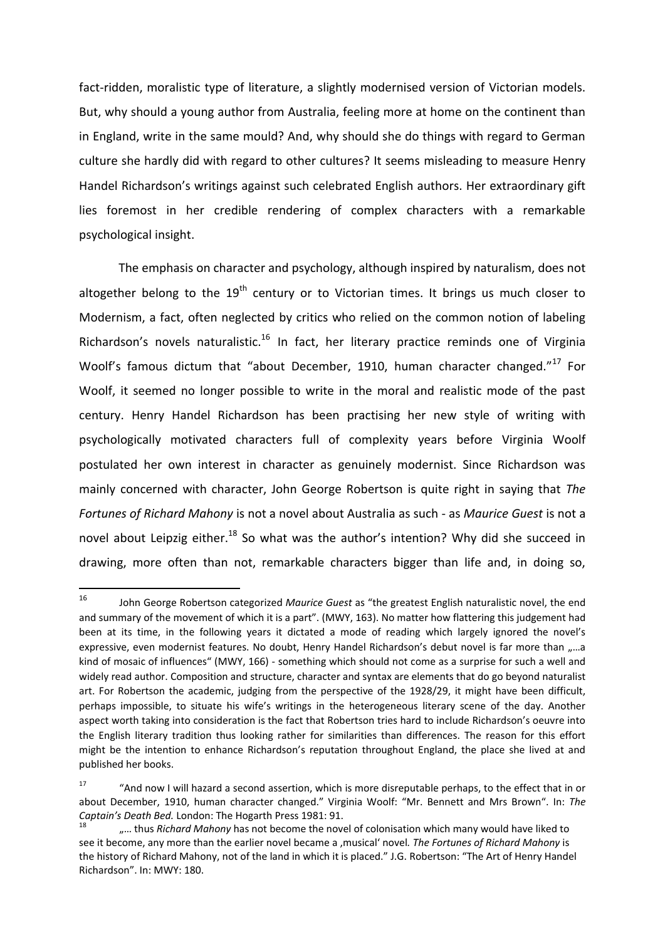fact-ridden, moralistic type of literature, a slightly modernised version of Victorian models. But, why should a young author from Australia, feeling more at home on the continent than in England, write in the same mould? And, why should she do things with regard to German culture she hardly did with regard to other cultures? It seems misleading to measure Henry Handel Richardson's writings against such celebrated English authors. Her extraordinary gift lies foremost in her credible rendering of complex characters with a remarkable psychological insight.

The emphasis on character and psychology, although inspired by naturalism, does not altogether belong to the  $19<sup>th</sup>$  century or to Victorian times. It brings us much closer to Modernism, a fact, often neglected by critics who relied on the common notion of labeling Richardson's novels naturalistic.<sup>16</sup> In fact, her literary practice reminds one of Virginia Woolf's famous dictum that "about December, 1910, human character changed."<sup>17</sup> For Woolf, it seemed no longer possible to write in the moral and realistic mode of the past century. Henry Handel Richardson has been practising her new style of writing with psychologically motivated characters full of complexity years before Virginia Woolf postulated her own interest in character as genuinely modernist. Since Richardson was mainly concerned with character, John George Robertson is quite right in saying that *The Fortunes of Richard Mahony* is not a novel about Australia as such - as *Maurice Guest* is not a novel about Leipzig either.<sup>18</sup> So what was the author's intention? Why did she succeed in drawing, more often than not, remarkable characters bigger than life and, in doing so,

<sup>16</sup> John George Robertson categorized *Maurice Guest* as "the greatest English naturalistic novel, the end and summary of the movement of which it is a part". (MWY, 163). No matter how flattering this judgement had been at its time, in the following years it dictated a mode of reading which largely ignored the novel's expressive, even modernist features. No doubt, Henry Handel Richardson's debut novel is far more than "...a kind of mosaic of influences" (MWY, 166) - something which should not come as a surprise for such a well and widely read author. Composition and structure, character and syntax are elements that do go beyond naturalist art. For Robertson the academic, judging from the perspective of the 1928/29, it might have been difficult, perhaps impossible, to situate his wife's writings in the heterogeneous literary scene of the day. Another aspect worth taking into consideration is the fact that Robertson tries hard to include Richardson's oeuvre into the English literary tradition thus looking rather for similarities than differences. The reason for this effort might be the intention to enhance Richardson's reputation throughout England, the place she lived at and published her books.

<sup>&</sup>lt;sup>17</sup> "And now I will hazard a second assertion, which is more disreputable perhaps, to the effect that in or about December, 1910, human character changed." Virginia Woolf: "Mr. Bennett and Mrs Brown". In: *The Captain's Death Bed.* London: The Hogarth Press 1981: 91.

<sup>18</sup> "... thus *Richard Mahony* has not become the novel of colonisation which many would have liked to see it become, any more than the earlier novel became a , musical' novel. The Fortunes of Richard Mahony is the history of Richard Mahony, not of the land in which it is placed." J.G. Robertson: "The Art of Henry Handel Richardson". In: MWY: 180.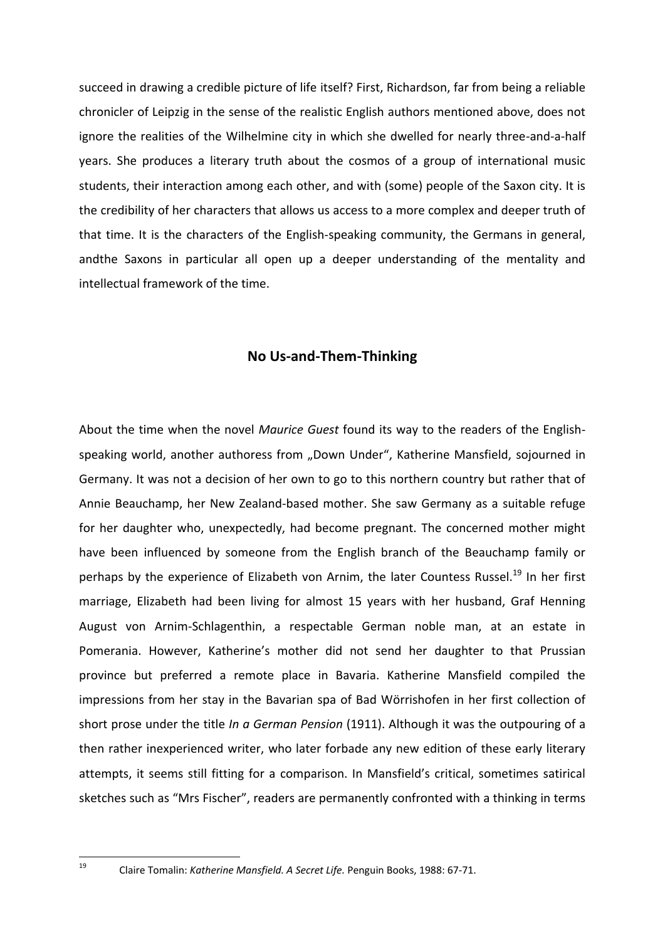succeed in drawing a credible picture of life itself? First, Richardson, far from being a reliable chronicler of Leipzig in the sense of the realistic English authors mentioned above, does not ignore the realities of the Wilhelmine city in which she dwelled for nearly three-and-a-half years. She produces a literary truth about the cosmos of a group of international music students, their interaction among each other, and with (some) people of the Saxon city. It is the credibility of her characters that allows us access to a more complex and deeper truth of that time. It is the characters of the English-speaking community, the Germans in general, andthe Saxons in particular all open up a deeper understanding of the mentality and intellectual framework of the time.

#### **No Us-and-Them-Thinking**

About the time when the novel *Maurice Guest* found its way to the readers of the Englishspeaking world, another authoress from "Down Under", Katherine Mansfield, sojourned in Germany. It was not a decision of her own to go to this northern country but rather that of Annie Beauchamp, her New Zealand-based mother. She saw Germany as a suitable refuge for her daughter who, unexpectedly, had become pregnant. The concerned mother might have been influenced by someone from the English branch of the Beauchamp family or perhaps by the experience of Elizabeth von Arnim, the later Countess Russel.<sup>19</sup> In her first marriage, Elizabeth had been living for almost 15 years with her husband, Graf Henning August von Arnim-Schlagenthin, a respectable German noble man, at an estate in Pomerania. However, Katherine's mother did not send her daughter to that Prussian province but preferred a remote place in Bavaria. Katherine Mansfield compiled the impressions from her stay in the Bavarian spa of Bad Wörrishofen in her first collection of short prose under the title *In a German Pension* (1911). Although it was the outpouring of a then rather inexperienced writer, who later forbade any new edition of these early literary attempts, it seems still fitting for a comparison. In Mansfield's critical, sometimes satirical sketches such as "Mrs Fischer", readers are permanently confronted with a thinking in terms

19

<sup>19</sup> Claire Tomalin: *Katherine Mansfield. A Secret Life.* Penguin Books, 1988: 67-71.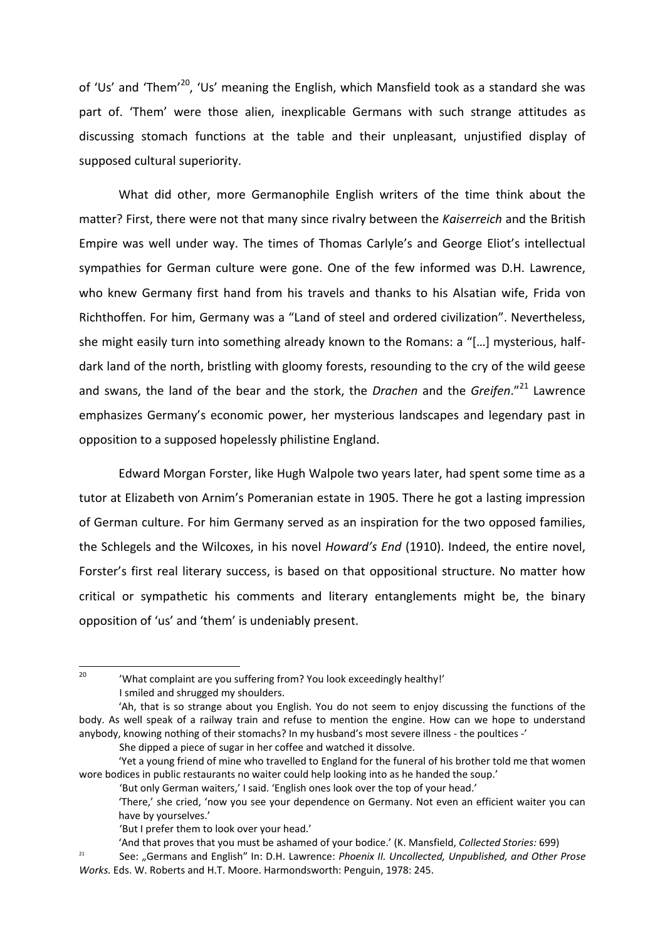of 'Us' and 'Them'<sup>20</sup>, 'Us' meaning the English, which Mansfield took as a standard she was part of. 'Them' were those alien, inexplicable Germans with such strange attitudes as discussing stomach functions at the table and their unpleasant, unjustified display of supposed cultural superiority.

What did other, more Germanophile English writers of the time think about the matter? First, there were not that many since rivalry between the *Kaiserreich* and the British Empire was well under way. The times of Thomas Carlyle's and George Eliot's intellectual sympathies for German culture were gone. One of the few informed was D.H. Lawrence, who knew Germany first hand from his travels and thanks to his Alsatian wife, Frida von Richthoffen. For him, Germany was a "Land of steel and ordered civilization". Nevertheless, she might easily turn into something already known to the Romans: a "[…] mysterious, halfdark land of the north, bristling with gloomy forests, resounding to the cry of the wild geese and swans, the land of the bear and the stork, the *Drachen* and the *Greifen*."<sup>21</sup> Lawrence emphasizes Germany's economic power, her mysterious landscapes and legendary past in opposition to a supposed hopelessly philistine England.

Edward Morgan Forster, like Hugh Walpole two years later, had spent some time as a tutor at Elizabeth von Arnim's Pomeranian estate in 1905. There he got a lasting impression of German culture. For him Germany served as an inspiration for the two opposed families, the Schlegels and the Wilcoxes, in his novel *Howard's End* (1910). Indeed, the entire novel, Forster's first real literary success, is based on that oppositional structure. No matter how critical or sympathetic his comments and literary entanglements might be, the binary opposition of 'us' and 'them' is undeniably present.

20

<sup>&#</sup>x27;What complaint are you suffering from? You look exceedingly healthy!'

I smiled and shrugged my shoulders.

<sup>&#</sup>x27;Ah, that is so strange about you English. You do not seem to enjoy discussing the functions of the body. As well speak of a railway train and refuse to mention the engine. How can we hope to understand anybody, knowing nothing of their stomachs? In my husband's most severe illness - the poultices -'

She dipped a piece of sugar in her coffee and watched it dissolve.

<sup>&#</sup>x27;Yet a young friend of mine who travelled to England for the funeral of his brother told me that women wore bodices in public restaurants no waiter could help looking into as he handed the soup.'

<sup>&#</sup>x27;But only German waiters,' I said. 'English ones look over the top of your head.'

<sup>&#</sup>x27;There,' she cried, 'now you see your dependence on Germany. Not even an efficient waiter you can have by yourselves.'

<sup>&#</sup>x27;But I prefer them to look over your head.'

<sup>&#</sup>x27;And that proves that you must be ashamed of your bodice.' (K. Mansfield, *Collected Stories:* 699)

<sup>&</sup>lt;sup>21</sup> See: "Germans and English" In: D.H. Lawrence: *Phoenix II. Uncollected, Unpublished, and Other Prose Works.* Eds. W. Roberts and H.T. Moore. Harmondsworth: Penguin, 1978: 245.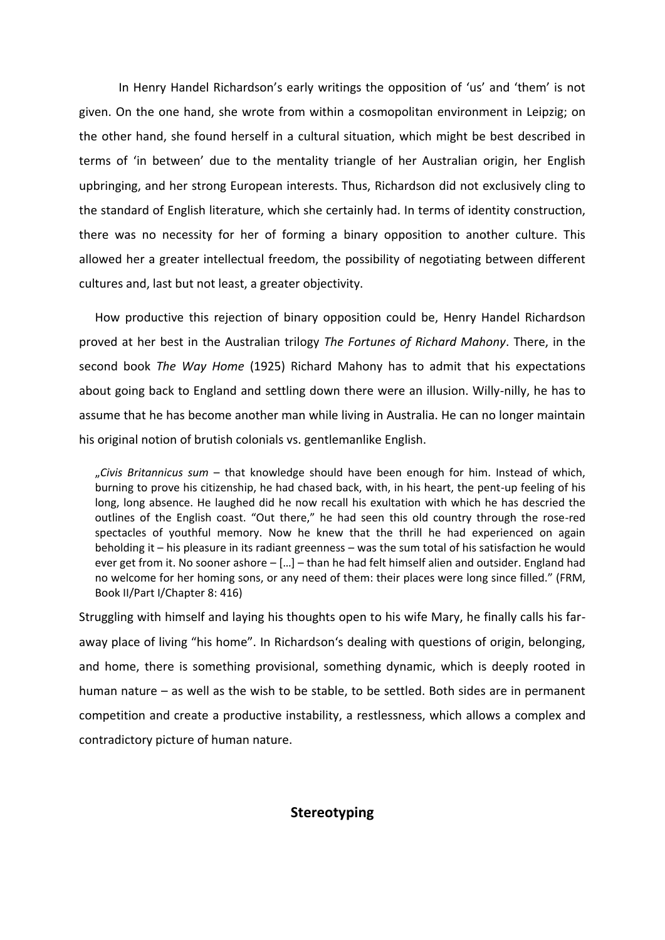In Henry Handel Richardson's early writings the opposition of 'us' and 'them' is not given. On the one hand, she wrote from within a cosmopolitan environment in Leipzig; on the other hand, she found herself in a cultural situation, which might be best described in terms of 'in between' due to the mentality triangle of her Australian origin, her English upbringing, and her strong European interests. Thus, Richardson did not exclusively cling to the standard of English literature, which she certainly had. In terms of identity construction, there was no necessity for her of forming a binary opposition to another culture. This allowed her a greater intellectual freedom, the possibility of negotiating between different cultures and, last but not least, a greater objectivity.

How productive this rejection of binary opposition could be, Henry Handel Richardson proved at her best in the Australian trilogy *The Fortunes of Richard Mahony*. There, in the second book *The Way Home* (1925) Richard Mahony has to admit that his expectations about going back to England and settling down there were an illusion. Willy-nilly, he has to assume that he has become another man while living in Australia. He can no longer maintain his original notion of brutish colonials vs. gentlemanlike English.

"*Civis Britannicus sum* – that knowledge should have been enough for him. Instead of which, burning to prove his citizenship, he had chased back, with, in his heart, the pent-up feeling of his long, long absence. He laughed did he now recall his exultation with which he has descried the outlines of the English coast. "Out there," he had seen this old country through the rose-red spectacles of youthful memory. Now he knew that the thrill he had experienced on again beholding it – his pleasure in its radiant greenness – was the sum total of his satisfaction he would ever get from it. No sooner ashore – […] – than he had felt himself alien and outsider. England had no welcome for her homing sons, or any need of them: their places were long since filled." (FRM, Book II/Part I/Chapter 8: 416)

Struggling with himself and laying his thoughts open to his wife Mary, he finally calls his faraway place of living "his home". In Richardson's dealing with questions of origin, belonging, and home, there is something provisional, something dynamic, which is deeply rooted in human nature – as well as the wish to be stable, to be settled. Both sides are in permanent competition and create a productive instability, a restlessness, which allows a complex and contradictory picture of human nature.

### **Stereotyping**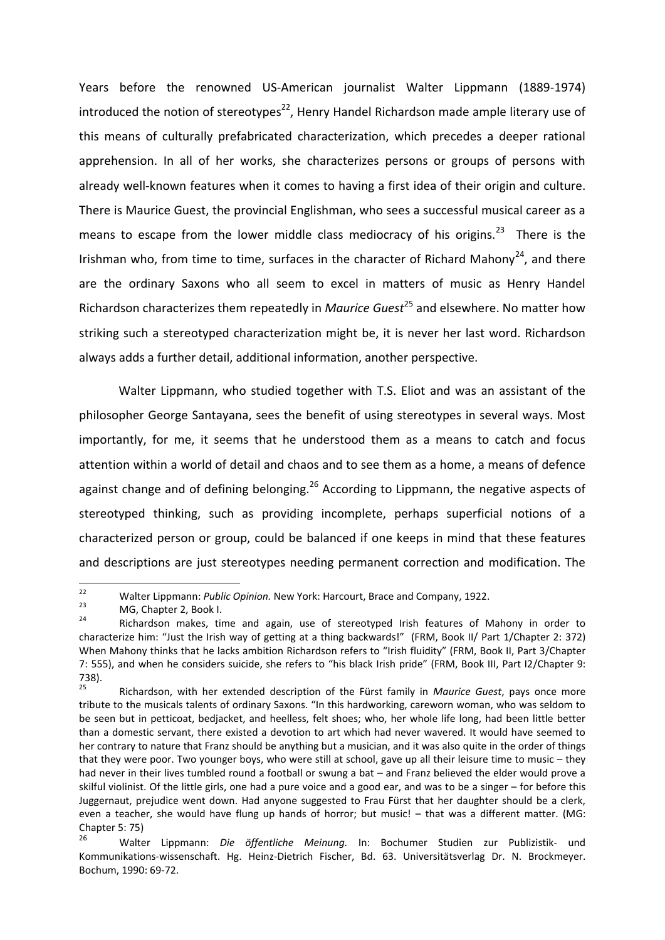Years before the renowned US-American journalist Walter Lippmann (1889-1974) introduced the notion of stereotypes<sup>22</sup>, Henry Handel Richardson made ample literary use of this means of culturally prefabricated characterization, which precedes a deeper rational apprehension. In all of her works, she characterizes persons or groups of persons with already well-known features when it comes to having a first idea of their origin and culture. There is Maurice Guest, the provincial Englishman, who sees a successful musical career as a means to escape from the lower middle class mediocracy of his origins.<sup>23</sup> There is the Irishman who, from time to time, surfaces in the character of Richard Mahony<sup>24</sup>, and there are the ordinary Saxons who all seem to excel in matters of music as Henry Handel Richardson characterizes them repeatedly in *Maurice Guest*<sup>25</sup> and elsewhere. No matter how striking such a stereotyped characterization might be, it is never her last word. Richardson always adds a further detail, additional information, another perspective.

Walter Lippmann, who studied together with T.S. Eliot and was an assistant of the philosopher George Santayana, sees the benefit of using stereotypes in several ways. Most importantly, for me, it seems that he understood them as a means to catch and focus attention within a world of detail and chaos and to see them as a home, a means of defence against change and of defining belonging.<sup>26</sup> According to Lippmann, the negative aspects of stereotyped thinking, such as providing incomplete, perhaps superficial notions of a characterized person or group, could be balanced if one keeps in mind that these features and descriptions are just stereotypes needing permanent correction and modification. The

 $22$ <sup>22</sup> Walter Lippmann: *Public Opinion*. New York: Harcourt, Brace and Company, 1922.<br><sup>23</sup> M.C. Chapter 2, Book I.

 $^{23}$  MG, Chapter 2, Book I.

Richardson makes, time and again, use of stereotyped Irish features of Mahony in order to characterize him: "Just the Irish way of getting at a thing backwards!" (FRM, Book II/ Part 1/Chapter 2: 372) When Mahony thinks that he lacks ambition Richardson refers to "Irish fluidity" (FRM, Book II, Part 3/Chapter 7: 555), and when he considers suicide, she refers to "his black Irish pride" (FRM, Book III, Part I2/Chapter 9: 738).

<sup>25</sup> Richardson, with her extended description of the Fürst family in *Maurice Guest*, pays once more tribute to the musicals talents of ordinary Saxons. "In this hardworking, careworn woman, who was seldom to be seen but in petticoat, bedjacket, and heelless, felt shoes; who, her whole life long, had been little better than a domestic servant, there existed a devotion to art which had never wavered. It would have seemed to her contrary to nature that Franz should be anything but a musician, and it was also quite in the order of things that they were poor. Two younger boys, who were still at school, gave up all their leisure time to music – they had never in their lives tumbled round a football or swung a bat – and Franz believed the elder would prove a skilful violinist. Of the little girls, one had a pure voice and a good ear, and was to be a singer – for before this Juggernaut, prejudice went down. Had anyone suggested to Frau Fürst that her daughter should be a clerk, even a teacher, she would have flung up hands of horror; but music! – that was a different matter. (MG: Chapter 5: 75)

<sup>26</sup> Walter Lippmann: *Die öffentliche Meinung.* In: Bochumer Studien zur Publizistik- und Kommunikations-wissenschaft. Hg. Heinz-Dietrich Fischer, Bd. 63. Universitätsverlag Dr. N. Brockmeyer. Bochum, 1990: 69-72.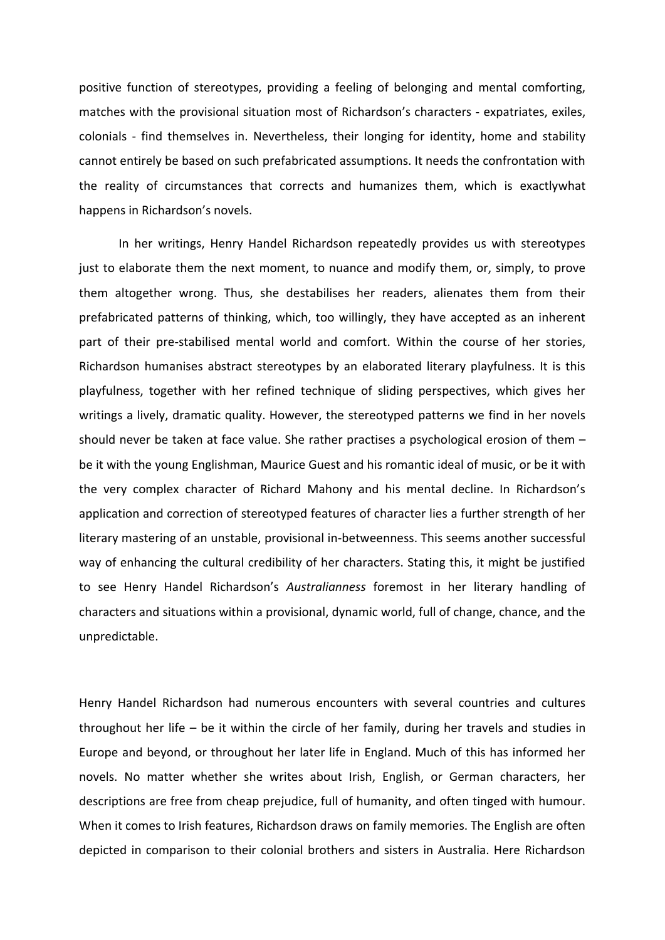positive function of stereotypes, providing a feeling of belonging and mental comforting, matches with the provisional situation most of Richardson's characters - expatriates, exiles, colonials - find themselves in. Nevertheless, their longing for identity, home and stability cannot entirely be based on such prefabricated assumptions. It needs the confrontation with the reality of circumstances that corrects and humanizes them, which is exactlywhat happens in Richardson's novels.

In her writings, Henry Handel Richardson repeatedly provides us with stereotypes just to elaborate them the next moment, to nuance and modify them, or, simply, to prove them altogether wrong. Thus, she destabilises her readers, alienates them from their prefabricated patterns of thinking, which, too willingly, they have accepted as an inherent part of their pre-stabilised mental world and comfort. Within the course of her stories, Richardson humanises abstract stereotypes by an elaborated literary playfulness. It is this playfulness, together with her refined technique of sliding perspectives, which gives her writings a lively, dramatic quality. However, the stereotyped patterns we find in her novels should never be taken at face value. She rather practises a psychological erosion of them – be it with the young Englishman, Maurice Guest and his romantic ideal of music, or be it with the very complex character of Richard Mahony and his mental decline. In Richardson's application and correction of stereotyped features of character lies a further strength of her literary mastering of an unstable, provisional in-betweenness. This seems another successful way of enhancing the cultural credibility of her characters. Stating this, it might be justified to see Henry Handel Richardson's *Australianness* foremost in her literary handling of characters and situations within a provisional, dynamic world, full of change, chance, and the unpredictable.

Henry Handel Richardson had numerous encounters with several countries and cultures throughout her life – be it within the circle of her family, during her travels and studies in Europe and beyond, or throughout her later life in England. Much of this has informed her novels. No matter whether she writes about Irish, English, or German characters, her descriptions are free from cheap prejudice, full of humanity, and often tinged with humour. When it comes to Irish features, Richardson draws on family memories. The English are often depicted in comparison to their colonial brothers and sisters in Australia. Here Richardson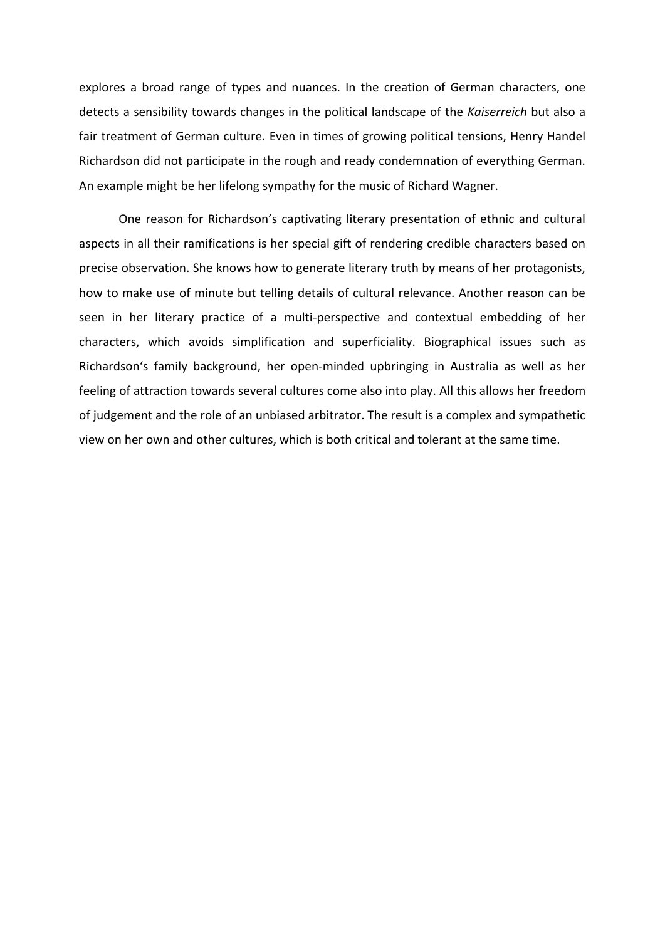explores a broad range of types and nuances. In the creation of German characters, one detects a sensibility towards changes in the political landscape of the *Kaiserreich* but also a fair treatment of German culture. Even in times of growing political tensions, Henry Handel Richardson did not participate in the rough and ready condemnation of everything German. An example might be her lifelong sympathy for the music of Richard Wagner.

One reason for Richardson's captivating literary presentation of ethnic and cultural aspects in all their ramifications is her special gift of rendering credible characters based on precise observation. She knows how to generate literary truth by means of her protagonists, how to make use of minute but telling details of cultural relevance. Another reason can be seen in her literary practice of a multi-perspective and contextual embedding of her characters, which avoids simplification and superficiality. Biographical issues such as Richardson's family background, her open-minded upbringing in Australia as well as her feeling of attraction towards several cultures come also into play. All this allows her freedom of judgement and the role of an unbiased arbitrator. The result is a complex and sympathetic view on her own and other cultures, which is both critical and tolerant at the same time.